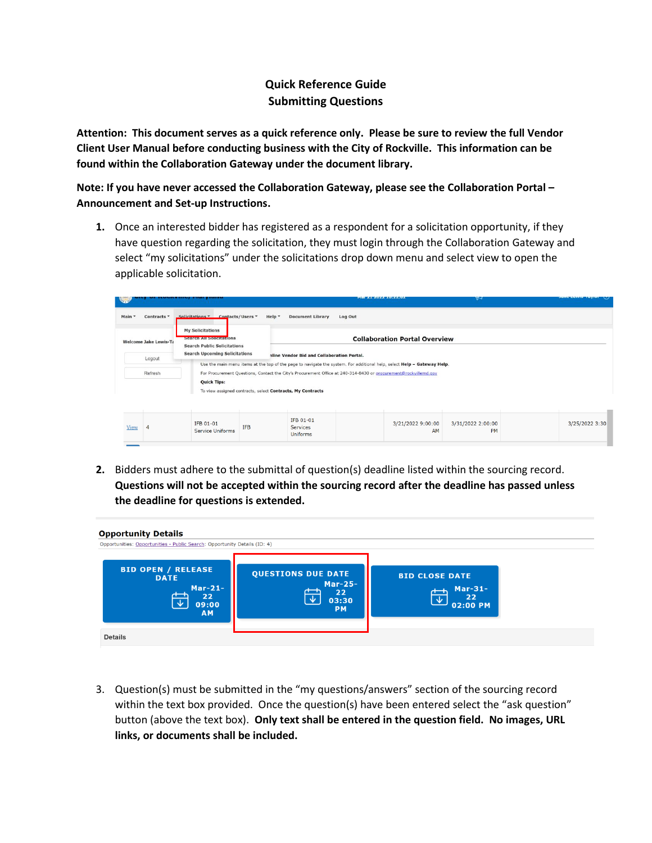## **Quick Reference Guide Submitting Questions**

**Attention: This document serves as a quick reference only. Please be sure to review the full Vendor Client User Manual before conducting business with the City of Rockville. This information can be found within the Collaboration Gateway under the document library.**

**Note: If you have never accessed the Collaboration Gateway, please see the Collaboration Portal – Announcement and Set-up Instructions.**

**1.** Once an interested bidder has registered as a respondent for a solicitation opportunity, if they have question regarding the solicitation, they must login through the Collaboration Gateway and select "my solicitations" under the solicitations drop down menu and select view to open the applicable solicitation.

| <b>ROAD</b> |                              |                                                                                           |                                                            |                                            | <b>MAIL ALL AVAIL AVAILANCE</b>                                                                                                                                                                                                            | $\mu$                          |                |
|-------------|------------------------------|-------------------------------------------------------------------------------------------|------------------------------------------------------------|--------------------------------------------|--------------------------------------------------------------------------------------------------------------------------------------------------------------------------------------------------------------------------------------------|--------------------------------|----------------|
| Main *      | Contracts *                  | Solicitations ▼ Contacts/Users ▼                                                          | Help *                                                     | <b>Document Library</b><br>Log Out         |                                                                                                                                                                                                                                            |                                |                |
|             | <b>Welcome Jake Lewis-Ta</b> | <b>My Solicitations</b><br>Search All Solicitations<br><b>Search Public Solicitations</b> |                                                            |                                            | <b>Collaboration Portal Overview</b>                                                                                                                                                                                                       |                                |                |
|             | Logout                       | <b>Search Upcoming Solicitations</b>                                                      |                                                            | nline Vendor Bid and Collaboration Portal. |                                                                                                                                                                                                                                            |                                |                |
|             | Refresh                      | <b>Quick Tips:</b>                                                                        | To view assigned contracts, select Contracts, My Contracts |                                            | Use the main menu items at the top of the page to navigate the system. For additional help, select Help - Gateway Help.<br>For Procurement Questions, Contact the City's Procurement Office at 240-314-8430 or procurement@rockvillemd.gov |                                |                |
| View        | 4                            | IFB 01-01<br><b>Service Uniforms</b>                                                      | IFB 01-01<br><b>IFB</b><br>Services<br>Uniforms            |                                            | 3/21/2022 9:00:00<br>AM                                                                                                                                                                                                                    | 3/31/2022 2:00:00<br><b>PM</b> | 3/25/2022 3:30 |
|             |                              |                                                                                           |                                                            |                                            |                                                                                                                                                                                                                                            |                                |                |

**2.** Bidders must adhere to the submittal of question(s) deadline listed within the sourcing record. **Questions will not be accepted within the sourcing record after the deadline has passed unless the deadline for questions is extended.**



3. Question(s) must be submitted in the "my questions/answers" section of the sourcing record within the text box provided. Once the question(s) have been entered select the "ask question" button (above the text box). **Only text shall be entered in the question field. No images, URL links, or documents shall be included.**